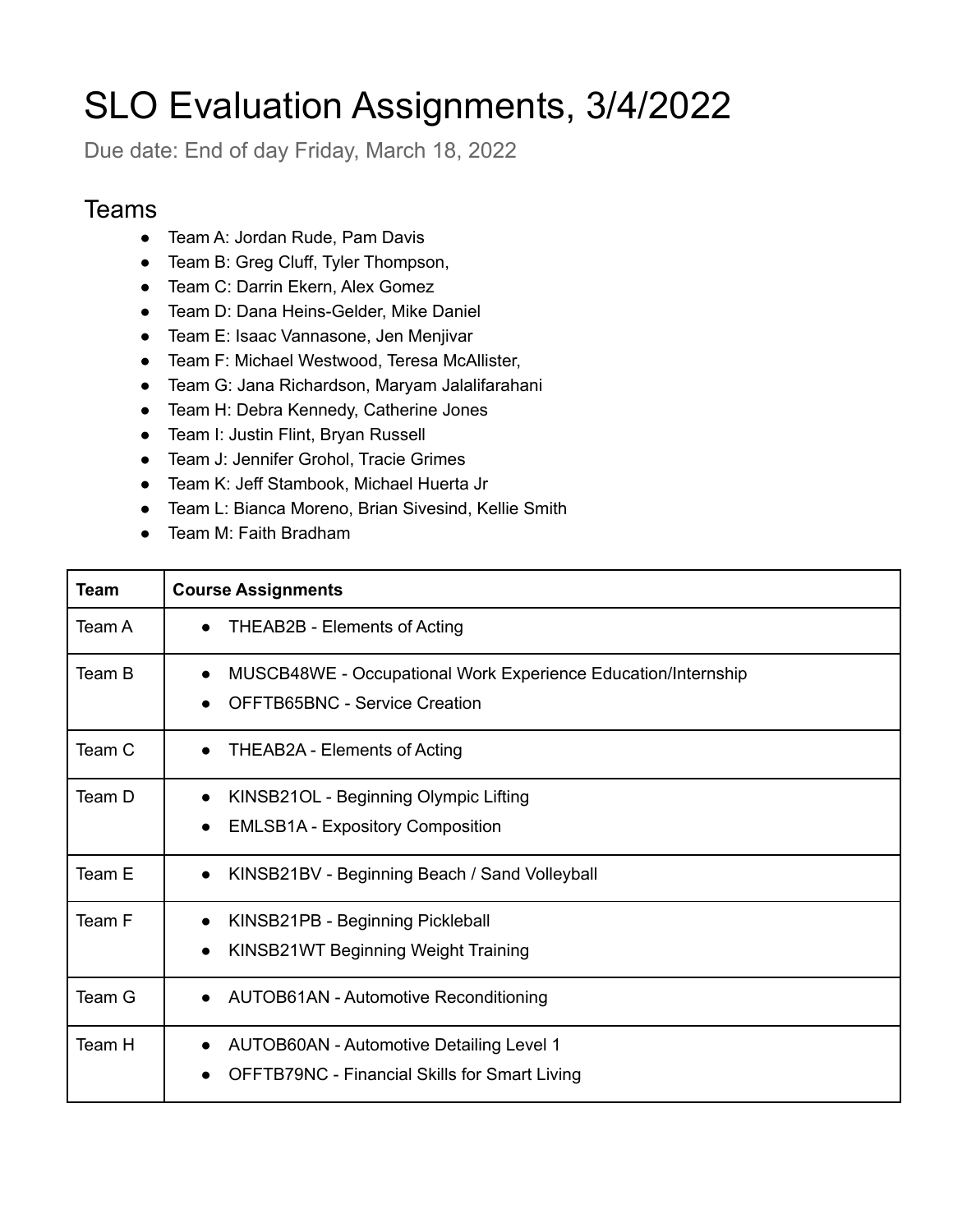## SLO Evaluation Assignments, 3/4/2022

Due date: End of day Friday, March 18, 2022

## **Teams**

- Team A: Jordan Rude, Pam Davis
- Team B: Greg Cluff, Tyler Thompson,
- Team C: Darrin Ekern, Alex Gomez
- Team D: Dana Heins-Gelder, Mike Daniel
- Team E: Isaac Vannasone, Jen Menjivar
- Team F: Michael Westwood, Teresa McAllister,
- Team G: Jana Richardson, Maryam Jalalifarahani
- Team H: Debra Kennedy, Catherine Jones
- Team I: Justin Flint, Bryan Russell
- Team J: Jennifer Grohol, Tracie Grimes
- Team K: Jeff Stambook, Michael Huerta Jr
- Team L: Bianca Moreno, Brian Sivesind, Kellie Smith
- Team M: Faith Bradham

| <b>Team</b> | <b>Course Assignments</b>                                                                                            |
|-------------|----------------------------------------------------------------------------------------------------------------------|
| Team A      | THEAB2B - Elements of Acting<br>$\bullet$                                                                            |
| Team B      | MUSCB48WE - Occupational Work Experience Education/Internship<br>$\bullet$<br><b>OFFTB65BNC - Service Creation</b>   |
| Team C      | THEAB2A - Elements of Acting<br>$\bullet$                                                                            |
| Team D      | KINSB21OL - Beginning Olympic Lifting<br><b>EMLSB1A - Expository Composition</b>                                     |
| Team E      | KINSB21BV - Beginning Beach / Sand Volleyball<br>$\bullet$                                                           |
| Team F      | KINSB21PB - Beginning Pickleball<br>KINSB21WT Beginning Weight Training                                              |
| Team G      | <b>AUTOB61AN - Automotive Reconditioning</b><br>$\bullet$                                                            |
| Team H      | <b>AUTOB60AN - Automotive Detailing Level 1</b><br>$\bullet$<br><b>OFFTB79NC - Financial Skills for Smart Living</b> |